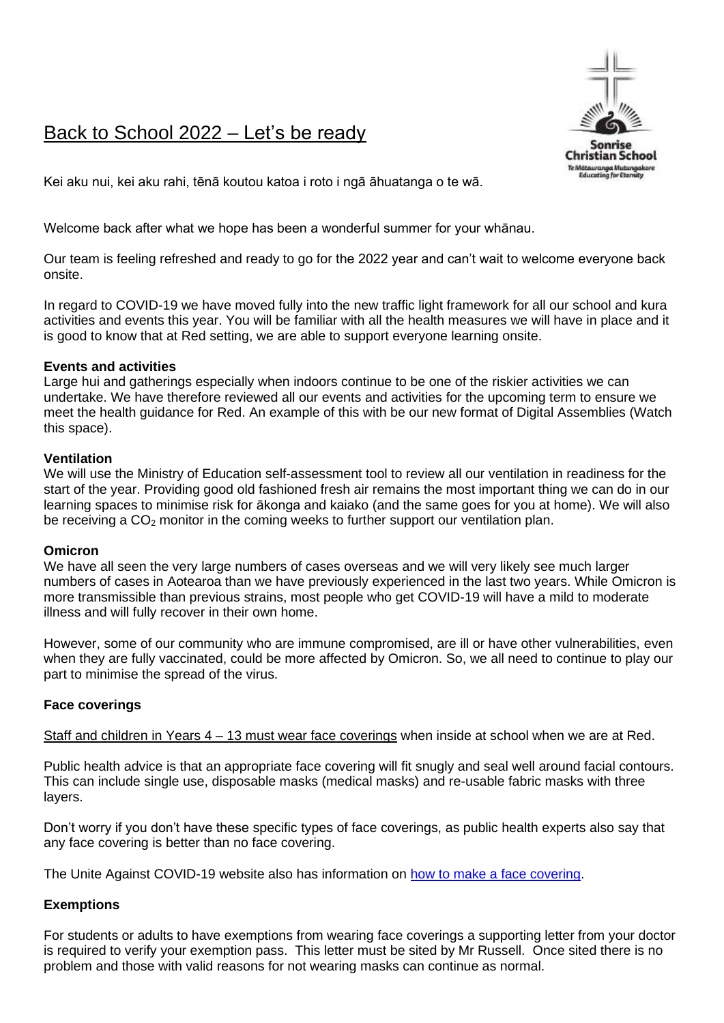# Back to School 2022 – Let's be ready



Kei aku nui, kei aku rahi, tēnā koutou katoa i roto i ngā āhuatanga o te wā.

Welcome back after what we hope has been a wonderful summer for your whānau.

Our team is feeling refreshed and ready to go for the 2022 year and can't wait to welcome everyone back onsite.

In regard to COVID-19 we have moved fully into the new traffic light framework for all our school and kura activities and events this year. You will be familiar with all the health measures we will have in place and it is good to know that at Red setting, we are able to support everyone learning onsite.

# **Events and activities**

Large hui and gatherings especially when indoors continue to be one of the riskier activities we can undertake. We have therefore reviewed all our events and activities for the upcoming term to ensure we meet the health guidance for Red. An example of this with be our new format of Digital Assemblies (Watch this space).

# **Ventilation**

We will use the Ministry of Education self-assessment tool to review all our ventilation in readiness for the start of the year. Providing good old fashioned fresh air remains the most important thing we can do in our learning spaces to minimise risk for ākonga and kaiako (and the same goes for you at home). We will also be receiving a  $CO<sub>2</sub>$  monitor in the coming weeks to further support our ventilation plan.

#### **Omicron**

We have all seen the very large numbers of cases overseas and we will very likely see much larger numbers of cases in Aotearoa than we have previously experienced in the last two years. While Omicron is more transmissible than previous strains, most people who get COVID-19 will have a mild to moderate illness and will fully recover in their own home.

However, some of our community who are immune compromised, are ill or have other vulnerabilities, even when they are fully vaccinated, could be more affected by Omicron. So, we all need to continue to play our part to minimise the spread of the virus.

# **Face coverings**

Staff and children in Years 4 – 13 must wear face coverings when inside at school when we are at Red.

Public health advice is that an appropriate face covering will fit snugly and seal well around facial contours. This can include single use, disposable masks (medical masks) and re-usable fabric masks with three layers.

Don't worry if you don't have these specific types of face coverings, as public health experts also say that any face covering is better than no face covering.

The Unite Against COVID-19 website also has information on [how to make a face covering.](https://covid19.govt.nz/prepare-and-stay-safe/keep-up-healthy-habits/wear-a-face-covering/how-to-make-a-face-covering/)

# **Exemptions**

For students or adults to have exemptions from wearing face coverings a supporting letter from your doctor is required to verify your exemption pass. This letter must be sited by Mr Russell. Once sited there is no problem and those with valid reasons for not wearing masks can continue as normal.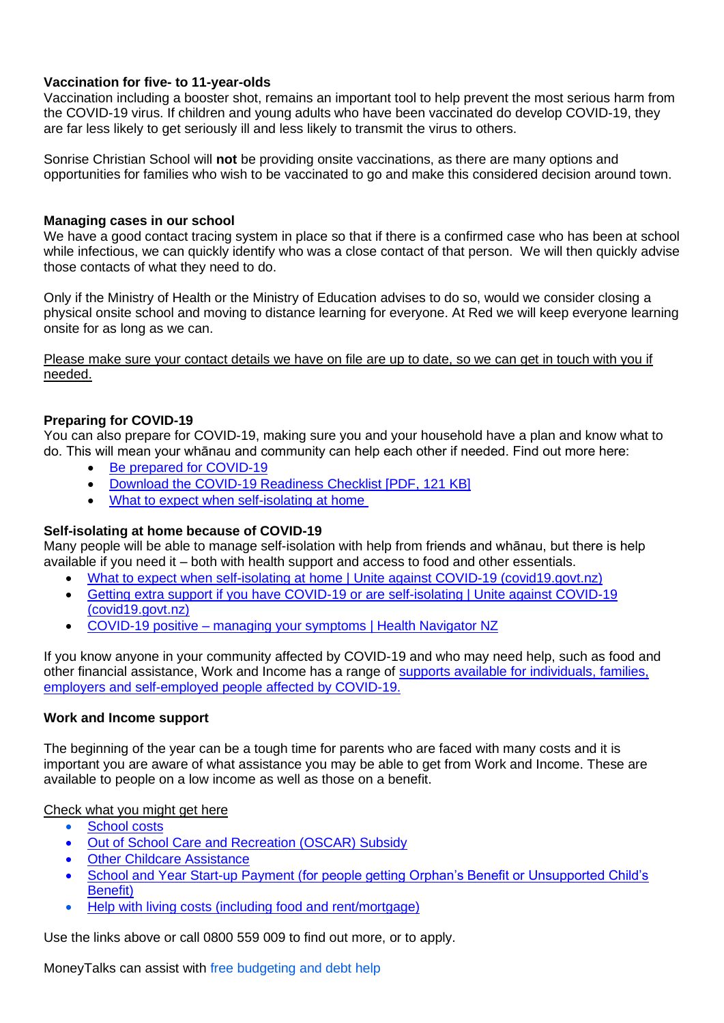# **Vaccination for five- to 11-year-olds**

Vaccination including a booster shot, remains an important tool to help prevent the most serious harm from the COVID-19 virus. If children and young adults who have been vaccinated do develop COVID-19, they are far less likely to get seriously ill and less likely to transmit the virus to others.

Sonrise Christian School will **not** be providing onsite vaccinations, as there are many options and opportunities for families who wish to be vaccinated to go and make this considered decision around town.

#### **Managing cases in our school**

We have a good contact tracing system in place so that if there is a confirmed case who has been at school while infectious, we can quickly identify who was a close contact of that person. We will then quickly advise those contacts of what they need to do.

Only if the Ministry of Health or the Ministry of Education advises to do so, would we consider closing a physical onsite school and moving to distance learning for everyone. At Red we will keep everyone learning onsite for as long as we can.

Please make sure your contact details we have on file are up to date, so we can get in touch with you if needed.

# **Preparing for COVID-19**

You can also prepare for COVID-19, making sure you and your household have a plan and know what to do. This will mean your whānau and community can help each other if needed. Find out more here:

- [Be prepared for COVID-19](https://covid19.govt.nz/prepare-and-stay-safe/be-prepared-for-covid-19/)
- [Download the COVID-19 Readiness Checklist](https://covid19.govt.nz/assets/resources/posters/COVID-19-Readiness-Checklist.pdf) [PDF, 121 KB]
- [What to expect when self-isolating at home](https://covid19.govt.nz/isolation-and-care/what-to-expect-when-self-isolating-at-home/)

# **Self-isolating at home because of COVID-19**

Many people will be able to manage self-isolation with help from friends and whānau, but there is help available if you need it – both with health support and access to food and other essentials.

- [What to expect when self-isolating at home | Unite against COVID-19 \(covid19.govt.nz\)](https://covid19.govt.nz/isolation-and-care/what-to-expect-when-self-isolating-at-home/)
- [Getting extra support if you have COVID-19 or are self-isolating | Unite against COVID-19](https://covid19.govt.nz/isolation-and-care/getting-extra-support-if-you-have-covid-19-or-are-self-isolating/)  [\(covid19.govt.nz\)](https://covid19.govt.nz/isolation-and-care/getting-extra-support-if-you-have-covid-19-or-are-self-isolating/)
- COVID-19 positive [managing your symptoms | Health Navigator NZ](https://www.healthnavigator.org.nz/health-a-z/c/covid-19-positive-managing-your-symptoms/)

If you know anyone in your community affected by COVID-19 and who may need help, such as food and other financial assistance, Work and Income has a range of [supports available for individuals, families,](https://workandincome.govt.nz/covid-19/)  [employers and self-employed people affected by COVID-19.](https://workandincome.govt.nz/covid-19/)

# **Work and Income support**

The beginning of the year can be a tough time for parents who are faced with many costs and it is important you are aware of what assistance you may be able to get from Work and Income. These are available to people on a low income as well as those on a benefit.

[Check what you might get here](https://check.msd.govt.nz/)

- [School costs](https://www.workandincome.govt.nz/eligibility/children/school-costs.html)
- [Out of School Care and Recreation \(OSCAR\) Subsidy](https://www.workandincome.govt.nz/products/a-z-benefits/oscar-subsidy.html)
- **[Other Childcare Assistance](https://www.workandincome.govt.nz/providers/childcare-assistance/index.html)**
- [School and Year Start-up Payment](https://www.workandincome.govt.nz/products/a-z-benefits/school-and-year-start-up-payment.html) (for people getting Orphan's Benefit or Unsupported Child's Benefit)
- [Help with living costs \(including food and rent/mortgage\)](https://www.workandincome.govt.nz/eligibility/living-expenses/index.html)

Use the links above or call 0800 559 009 to find out more, or to apply.

MoneyTalks can assist with [free budgeting and debt help](https://www.moneytalks.co.nz/)